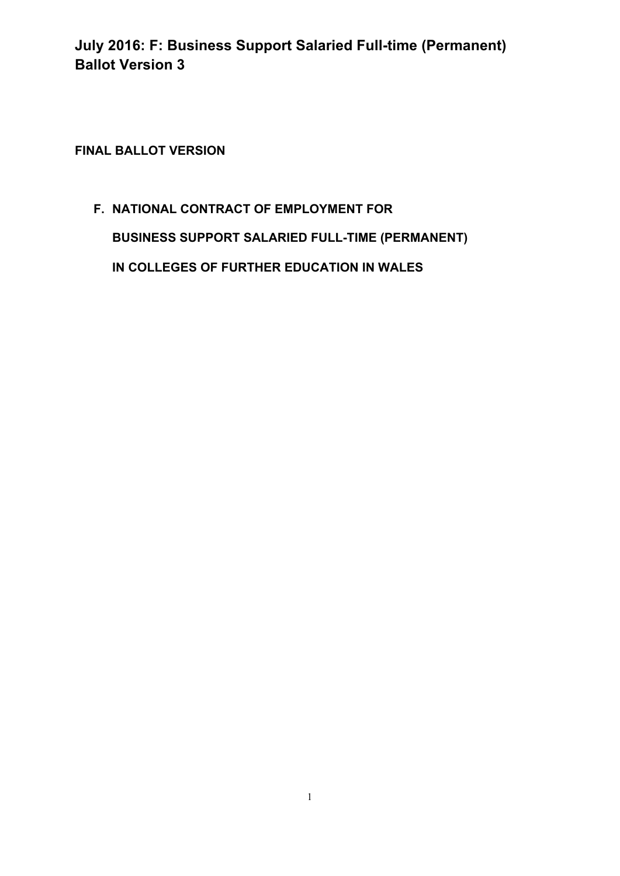**FINAL BALLOT VERSION** 

# **F. NATIONAL CONTRACT OF EMPLOYMENT FOR BUSINESS SUPPORT SALARIED FULL-TIME (PERMANENT) IN COLLEGES OF FURTHER EDUCATION IN WALES**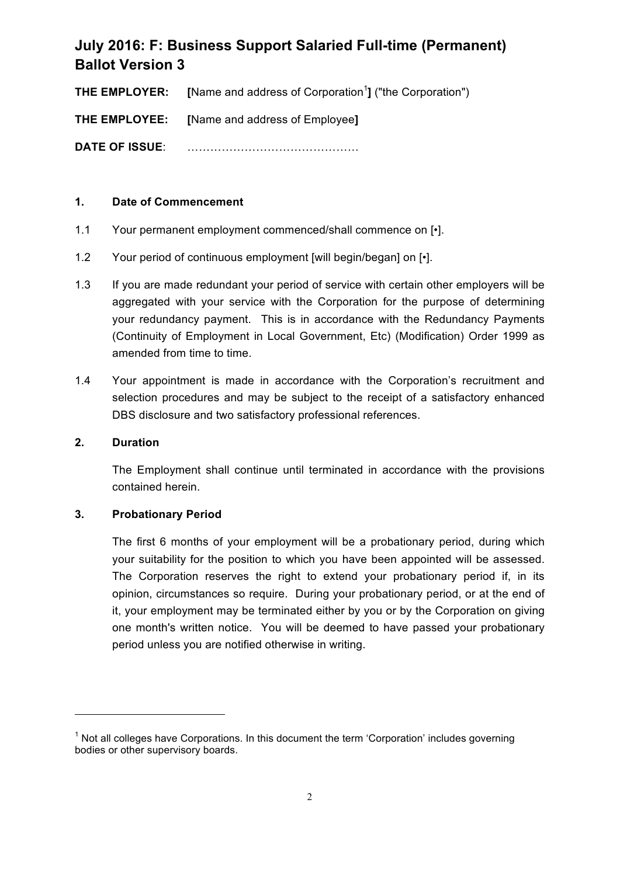**THE EMPLOYER:** [Name and address of Corporation<sup>1</sup>] ("the Corporation")

**THE EMPLOYEE: [**Name and address of Employee**]**

**DATE OF ISSUE**: ………………………………………

## **1. Date of Commencement**

- 1.1 Your permanent employment commenced/shall commence on  $\lceil \cdot \rceil$ .
- 1.2 Your period of continuous employment [will begin/began] on [•].
- 1.3 If you are made redundant your period of service with certain other employers will be aggregated with your service with the Corporation for the purpose of determining your redundancy payment. This is in accordance with the Redundancy Payments (Continuity of Employment in Local Government, Etc) (Modification) Order 1999 as amended from time to time.
- 1.4 Your appointment is made in accordance with the Corporation's recruitment and selection procedures and may be subject to the receipt of a satisfactory enhanced DBS disclosure and two satisfactory professional references.

### **2. Duration**

The Employment shall continue until terminated in accordance with the provisions contained herein.

### **3. Probationary Period**

<u> 1989 - Jan Samuel Barbara, margaret e</u>

The first 6 months of your employment will be a probationary period, during which your suitability for the position to which you have been appointed will be assessed. The Corporation reserves the right to extend your probationary period if, in its opinion, circumstances so require. During your probationary period, or at the end of it, your employment may be terminated either by you or by the Corporation on giving one month's written notice. You will be deemed to have passed your probationary period unless you are notified otherwise in writing.

 $<sup>1</sup>$  Not all colleges have Corporations. In this document the term 'Corporation' includes governing</sup> bodies or other supervisory boards.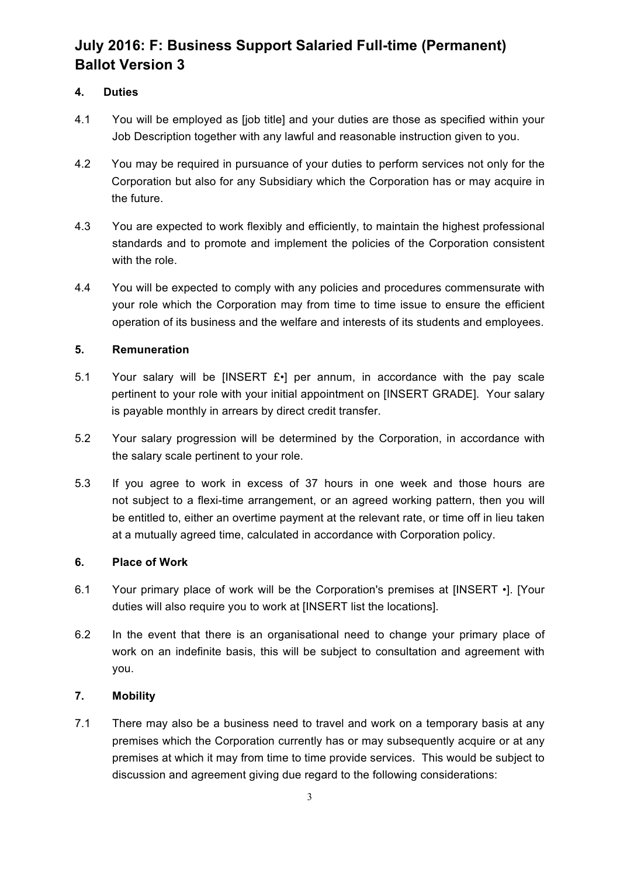# **4. Duties**

- 4.1 You will be employed as [job title] and your duties are those as specified within your Job Description together with any lawful and reasonable instruction given to you.
- 4.2 You may be required in pursuance of your duties to perform services not only for the Corporation but also for any Subsidiary which the Corporation has or may acquire in the future.
- 4.3 You are expected to work flexibly and efficiently, to maintain the highest professional standards and to promote and implement the policies of the Corporation consistent with the role.
- 4.4 You will be expected to comply with any policies and procedures commensurate with your role which the Corporation may from time to time issue to ensure the efficient operation of its business and the welfare and interests of its students and employees.

# **5. Remuneration**

- 5.1 Your salary will be IINSERT  $E \cdot 1$  per annum, in accordance with the pay scale pertinent to your role with your initial appointment on [INSERT GRADE]. Your salary is payable monthly in arrears by direct credit transfer.
- 5.2 Your salary progression will be determined by the Corporation, in accordance with the salary scale pertinent to your role.
- 5.3 If you agree to work in excess of 37 hours in one week and those hours are not subject to a flexi-time arrangement, or an agreed working pattern, then you will be entitled to, either an overtime payment at the relevant rate, or time off in lieu taken at a mutually agreed time, calculated in accordance with Corporation policy.

### **6. Place of Work**

- 6.1 Your primary place of work will be the Corporation's premises at [INSERT •]. [Your duties will also require you to work at [INSERT list the locations].
- 6.2 In the event that there is an organisational need to change your primary place of work on an indefinite basis, this will be subject to consultation and agreement with you.

### **7. Mobility**

7.1 There may also be a business need to travel and work on a temporary basis at any premises which the Corporation currently has or may subsequently acquire or at any premises at which it may from time to time provide services. This would be subject to discussion and agreement giving due regard to the following considerations: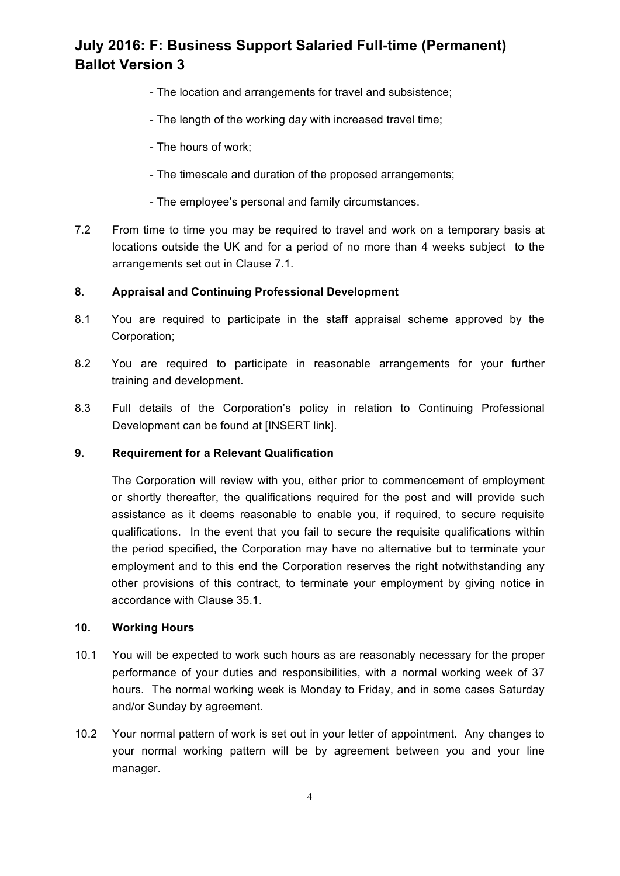- The location and arrangements for travel and subsistence;
- The length of the working day with increased travel time;
- The hours of work;
- The timescale and duration of the proposed arrangements;
- The employee's personal and family circumstances.
- 7.2 From time to time you may be required to travel and work on a temporary basis at locations outside the UK and for a period of no more than 4 weeks subject to the arrangements set out in Clause 7.1.

# **8. Appraisal and Continuing Professional Development**

- 8.1 You are required to participate in the staff appraisal scheme approved by the Corporation;
- 8.2 You are required to participate in reasonable arrangements for your further training and development.
- 8.3 Full details of the Corporation's policy in relation to Continuing Professional Development can be found at [INSERT link].

### **9. Requirement for a Relevant Qualification**

The Corporation will review with you, either prior to commencement of employment or shortly thereafter, the qualifications required for the post and will provide such assistance as it deems reasonable to enable you, if required, to secure requisite qualifications. In the event that you fail to secure the requisite qualifications within the period specified, the Corporation may have no alternative but to terminate your employment and to this end the Corporation reserves the right notwithstanding any other provisions of this contract, to terminate your employment by giving notice in accordance with Clause 35.1.

### **10. Working Hours**

- 10.1 You will be expected to work such hours as are reasonably necessary for the proper performance of your duties and responsibilities, with a normal working week of 37 hours. The normal working week is Monday to Friday, and in some cases Saturday and/or Sunday by agreement.
- 10.2 Your normal pattern of work is set out in your letter of appointment. Any changes to your normal working pattern will be by agreement between you and your line manager.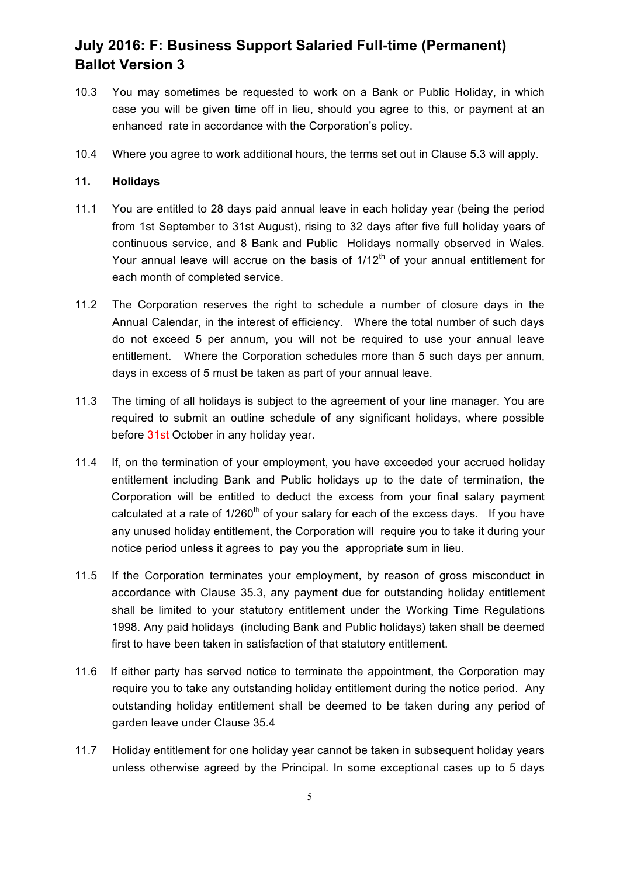- 10.3 You may sometimes be requested to work on a Bank or Public Holiday, in which case you will be given time off in lieu, should you agree to this, or payment at an enhanced rate in accordance with the Corporation's policy.
- 10.4 Where you agree to work additional hours, the terms set out in Clause 5.3 will apply.

## **11. Holidays**

- 11.1 You are entitled to 28 days paid annual leave in each holiday year (being the period from 1st September to 31st August), rising to 32 days after five full holiday years of continuous service, and 8 Bank and Public Holidays normally observed in Wales. Your annual leave will accrue on the basis of  $1/12<sup>th</sup>$  of your annual entitlement for each month of completed service.
- 11.2 The Corporation reserves the right to schedule a number of closure days in the Annual Calendar, in the interest of efficiency. Where the total number of such days do not exceed 5 per annum, you will not be required to use your annual leave entitlement. Where the Corporation schedules more than 5 such days per annum, days in excess of 5 must be taken as part of your annual leave.
- 11.3 The timing of all holidays is subject to the agreement of your line manager. You are required to submit an outline schedule of any significant holidays, where possible before 31st October in any holiday year.
- 11.4 If, on the termination of your employment, you have exceeded your accrued holiday entitlement including Bank and Public holidays up to the date of termination, the Corporation will be entitled to deduct the excess from your final salary payment calculated at a rate of  $1/260<sup>th</sup>$  of your salary for each of the excess days. If you have any unused holiday entitlement, the Corporation will require you to take it during your notice period unless it agrees to pay you the appropriate sum in lieu.
- 11.5 If the Corporation terminates your employment, by reason of gross misconduct in accordance with Clause 35.3, any payment due for outstanding holiday entitlement shall be limited to your statutory entitlement under the Working Time Regulations 1998. Any paid holidays (including Bank and Public holidays) taken shall be deemed first to have been taken in satisfaction of that statutory entitlement.
- 11.6 If either party has served notice to terminate the appointment, the Corporation may require you to take any outstanding holiday entitlement during the notice period. Any outstanding holiday entitlement shall be deemed to be taken during any period of garden leave under Clause 35.4
- 11.7 Holiday entitlement for one holiday year cannot be taken in subsequent holiday years unless otherwise agreed by the Principal. In some exceptional cases up to 5 days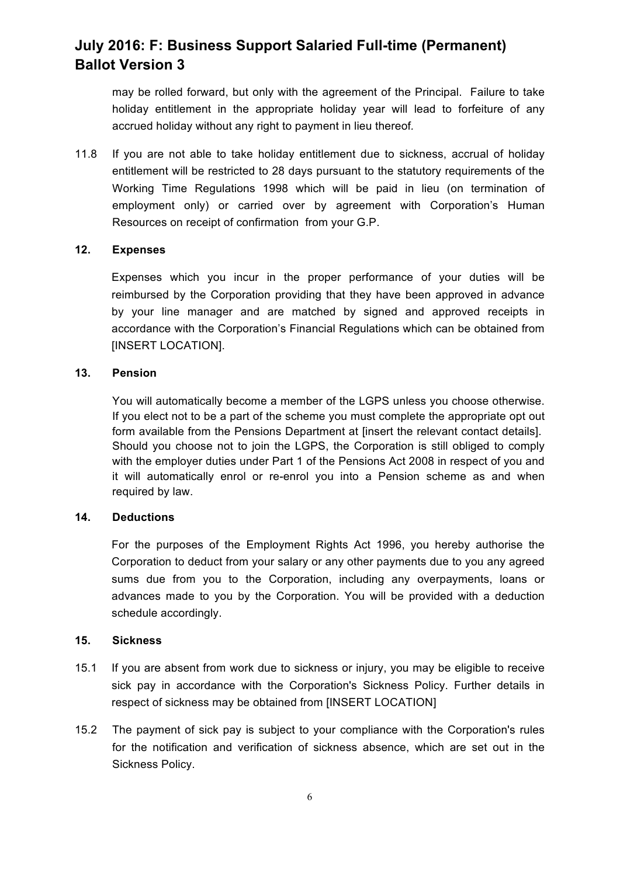may be rolled forward, but only with the agreement of the Principal. Failure to take holiday entitlement in the appropriate holiday year will lead to forfeiture of any accrued holiday without any right to payment in lieu thereof*.* 

11.8 If you are not able to take holiday entitlement due to sickness, accrual of holiday entitlement will be restricted to 28 days pursuant to the statutory requirements of the Working Time Regulations 1998 which will be paid in lieu (on termination of employment only) or carried over by agreement with Corporation's Human Resources on receipt of confirmation from your G.P.

#### **12. Expenses**

Expenses which you incur in the proper performance of your duties will be reimbursed by the Corporation providing that they have been approved in advance by your line manager and are matched by signed and approved receipts in accordance with the Corporation's Financial Regulations which can be obtained from [INSERT LOCATION].

#### **13. Pension**

You will automatically become a member of the LGPS unless you choose otherwise. If you elect not to be a part of the scheme you must complete the appropriate opt out form available from the Pensions Department at [insert the relevant contact details]. Should you choose not to join the LGPS, the Corporation is still obliged to comply with the employer duties under Part 1 of the Pensions Act 2008 in respect of you and it will automatically enrol or re-enrol you into a Pension scheme as and when required by law.

### **14. Deductions**

For the purposes of the Employment Rights Act 1996, you hereby authorise the Corporation to deduct from your salary or any other payments due to you any agreed sums due from you to the Corporation, including any overpayments, loans or advances made to you by the Corporation. You will be provided with a deduction schedule accordingly.

#### **15. Sickness**

- 15.1 If you are absent from work due to sickness or injury, you may be eligible to receive sick pay in accordance with the Corporation's Sickness Policy. Further details in respect of sickness may be obtained from [INSERT LOCATION]
- 15.2 The payment of sick pay is subject to your compliance with the Corporation's rules for the notification and verification of sickness absence, which are set out in the Sickness Policy.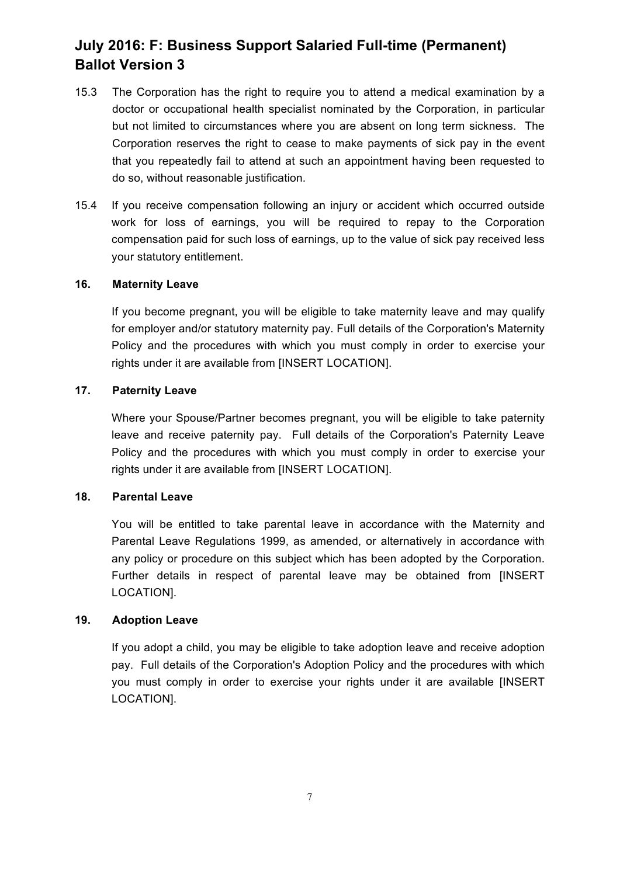- 15.3 The Corporation has the right to require you to attend a medical examination by a doctor or occupational health specialist nominated by the Corporation, in particular but not limited to circumstances where you are absent on long term sickness. The Corporation reserves the right to cease to make payments of sick pay in the event that you repeatedly fail to attend at such an appointment having been requested to do so, without reasonable justification.
- 15.4 If you receive compensation following an injury or accident which occurred outside work for loss of earnings, you will be required to repay to the Corporation compensation paid for such loss of earnings, up to the value of sick pay received less your statutory entitlement.

#### **16. Maternity Leave**

If you become pregnant, you will be eligible to take maternity leave and may qualify for employer and/or statutory maternity pay. Full details of the Corporation's Maternity Policy and the procedures with which you must comply in order to exercise your rights under it are available from [INSERT LOCATION].

#### **17. Paternity Leave**

Where your Spouse/Partner becomes pregnant, you will be eligible to take paternity leave and receive paternity pay. Full details of the Corporation's Paternity Leave Policy and the procedures with which you must comply in order to exercise your rights under it are available from [INSERT LOCATION].

#### **18. Parental Leave**

You will be entitled to take parental leave in accordance with the Maternity and Parental Leave Regulations 1999, as amended, or alternatively in accordance with any policy or procedure on this subject which has been adopted by the Corporation. Further details in respect of parental leave may be obtained from [INSERT LOCATION].

### **19. Adoption Leave**

If you adopt a child, you may be eligible to take adoption leave and receive adoption pay. Full details of the Corporation's Adoption Policy and the procedures with which you must comply in order to exercise your rights under it are available [INSERT LOCATION].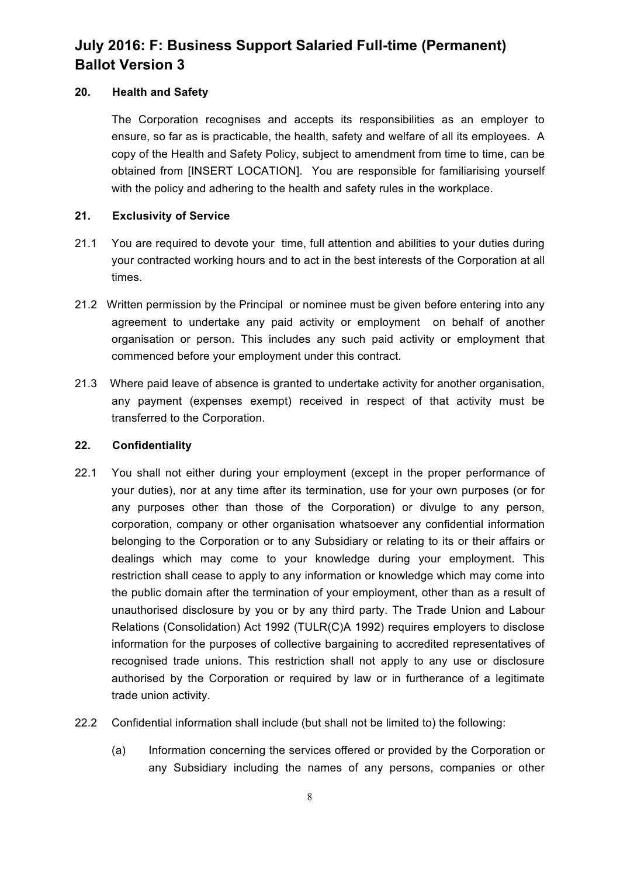## **20. Health and Safety**

The Corporation recognises and accepts its responsibilities as an employer to ensure, so far as is practicable, the health, safety and welfare of all its employees. A copy of the Health and Safety Policy, subject to amendment from time to time, can be obtained from [INSERT LOCATION]. You are responsible for familiarising yourself with the policy and adhering to the health and safety rules in the workplace.

## **21. Exclusivity of Service**

- 21.1 You are required to devote your time, full attention and abilities to your duties during your contracted working hours and to act in the best interests of the Corporation at all times.
- 21.2 Written permission by the Principal or nominee must be given before entering into any agreement to undertake any paid activity or employment on behalf of another organisation or person. This includes any such paid activity or employment that commenced before your employment under this contract.
- 21.3 Where paid leave of absence is granted to undertake activity for another organisation, any payment (expenses exempt) received in respect of that activity must be transferred to the Corporation.

### **22. Confidentiality**

- 22.1 You shall not either during your employment (except in the proper performance of your duties), nor at any time after its termination, use for your own purposes (or for any purposes other than those of the Corporation) or divulge to any person, corporation, company or other organisation whatsoever any confidential information belonging to the Corporation or to any Subsidiary or relating to its or their affairs or dealings which may come to your knowledge during your employment. This restriction shall cease to apply to any information or knowledge which may come into the public domain after the termination of your employment, other than as a result of unauthorised disclosure by you or by any third party. The Trade Union and Labour Relations (Consolidation) Act 1992 (TULR(C)A 1992) requires employers to disclose information for the purposes of collective bargaining to accredited representatives of recognised trade unions. This restriction shall not apply to any use or disclosure authorised by the Corporation or required by law or in furtherance of a legitimate trade union activity.
- 22.2 Confidential information shall include (but shall not be limited to) the following:
	- (a) Information concerning the services offered or provided by the Corporation or any Subsidiary including the names of any persons, companies or other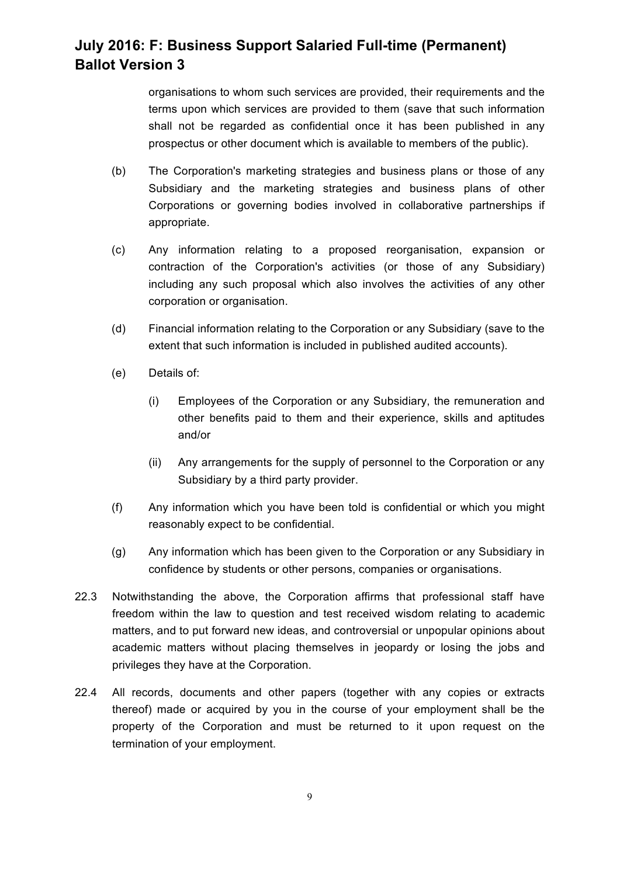organisations to whom such services are provided, their requirements and the terms upon which services are provided to them (save that such information shall not be regarded as confidential once it has been published in any prospectus or other document which is available to members of the public).

- (b) The Corporation's marketing strategies and business plans or those of any Subsidiary and the marketing strategies and business plans of other Corporations or governing bodies involved in collaborative partnerships if appropriate.
- (c) Any information relating to a proposed reorganisation, expansion or contraction of the Corporation's activities (or those of any Subsidiary) including any such proposal which also involves the activities of any other corporation or organisation.
- (d) Financial information relating to the Corporation or any Subsidiary (save to the extent that such information is included in published audited accounts).
- (e) Details of:
	- (i) Employees of the Corporation or any Subsidiary, the remuneration and other benefits paid to them and their experience, skills and aptitudes and/or
	- (ii) Any arrangements for the supply of personnel to the Corporation or any Subsidiary by a third party provider.
- (f) Any information which you have been told is confidential or which you might reasonably expect to be confidential.
- (g) Any information which has been given to the Corporation or any Subsidiary in confidence by students or other persons, companies or organisations.
- 22.3 Notwithstanding the above, the Corporation affirms that professional staff have freedom within the law to question and test received wisdom relating to academic matters, and to put forward new ideas, and controversial or unpopular opinions about academic matters without placing themselves in jeopardy or losing the jobs and privileges they have at the Corporation.
- 22.4 All records, documents and other papers (together with any copies or extracts thereof) made or acquired by you in the course of your employment shall be the property of the Corporation and must be returned to it upon request on the termination of your employment.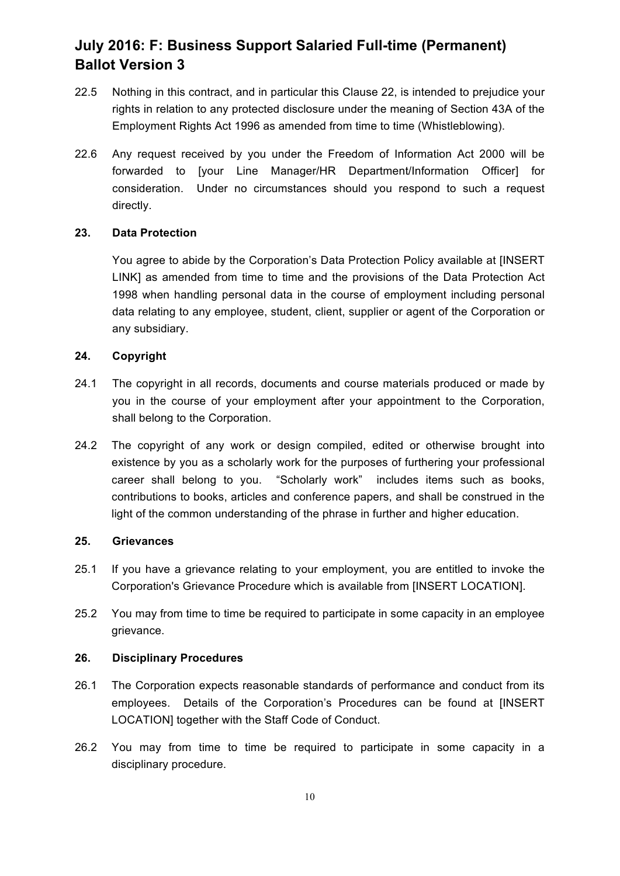- 22.5 Nothing in this contract, and in particular this Clause 22, is intended to prejudice your rights in relation to any protected disclosure under the meaning of Section 43A of the Employment Rights Act 1996 as amended from time to time (Whistleblowing).
- 22.6 Any request received by you under the Freedom of Information Act 2000 will be forwarded to [your Line Manager/HR Department/Information Officer] for consideration. Under no circumstances should you respond to such a request directly.

#### **23. Data Protection**

You agree to abide by the Corporation's Data Protection Policy available at [INSERT LINK] as amended from time to time and the provisions of the Data Protection Act 1998 when handling personal data in the course of employment including personal data relating to any employee, student, client, supplier or agent of the Corporation or any subsidiary.

#### **24. Copyright**

- 24.1 The copyright in all records, documents and course materials produced or made by you in the course of your employment after your appointment to the Corporation, shall belong to the Corporation.
- 24.2 The copyright of any work or design compiled, edited or otherwise brought into existence by you as a scholarly work for the purposes of furthering your professional career shall belong to you. "Scholarly work" includes items such as books, contributions to books, articles and conference papers, and shall be construed in the light of the common understanding of the phrase in further and higher education.

### **25. Grievances**

- 25.1 If you have a grievance relating to your employment, you are entitled to invoke the Corporation's Grievance Procedure which is available from [INSERT LOCATION].
- 25.2 You may from time to time be required to participate in some capacity in an employee grievance.

#### **26. Disciplinary Procedures**

- 26.1 The Corporation expects reasonable standards of performance and conduct from its employees. Details of the Corporation's Procedures can be found at [INSERT LOCATION] together with the Staff Code of Conduct.
- 26.2 You may from time to time be required to participate in some capacity in a disciplinary procedure.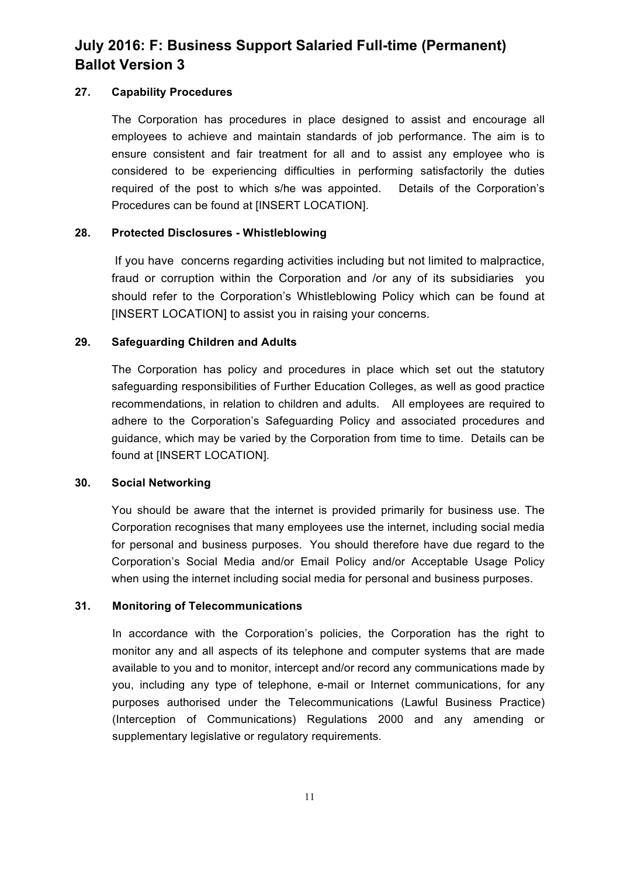### **27. Capability Procedures**

The Corporation has procedures in place designed to assist and encourage all employees to achieve and maintain standards of job performance. The aim is to ensure consistent and fair treatment for all and to assist any employee who is considered to be experiencing difficulties in performing satisfactorily the duties required of the post to which s/he was appointed. Details of the Corporation's Procedures can be found at [INSERT LOCATION].

# **28. Protected Disclosures - Whistleblowing**

If you have concerns regarding activities including but not limited to malpractice, fraud or corruption within the Corporation and /or any of its subsidiaries you should refer to the Corporation's Whistleblowing Policy which can be found at [INSERT LOCATION] to assist you in raising your concerns.

# **29. Safeguarding Children and Adults**

The Corporation has policy and procedures in place which set out the statutory safeguarding responsibilities of Further Education Colleges, as well as good practice recommendations, in relation to children and adults. All employees are required to adhere to the Corporation's Safeguarding Policy and associated procedures and guidance, which may be varied by the Corporation from time to time. Details can be found at [INSERT LOCATION].

### **30. Social Networking**

You should be aware that the internet is provided primarily for business use. The Corporation recognises that many employees use the internet, including social media for personal and business purposes. You should therefore have due regard to the Corporation's Social Media and/or Email Policy and/or Acceptable Usage Policy when using the internet including social media for personal and business purposes.

### **31. Monitoring of Telecommunications**

In accordance with the Corporation's policies, the Corporation has the right to monitor any and all aspects of its telephone and computer systems that are made available to you and to monitor, intercept and/or record any communications made by you, including any type of telephone, e-mail or Internet communications, for any purposes authorised under the Telecommunications (Lawful Business Practice) (Interception of Communications) Regulations 2000 and any amending or supplementary legislative or regulatory requirements.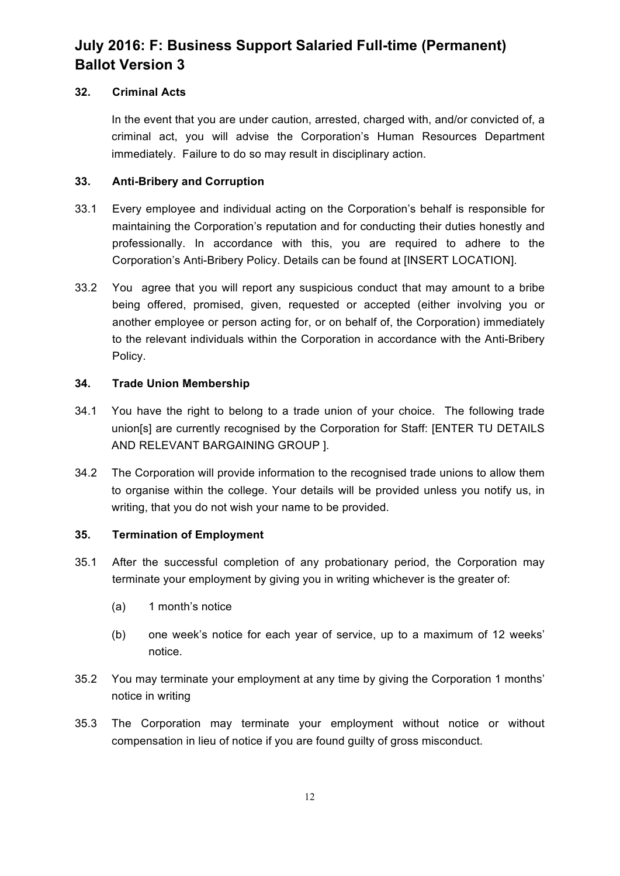# **32. Criminal Acts**

In the event that you are under caution, arrested, charged with, and/or convicted of, a criminal act, you will advise the Corporation's Human Resources Department immediately. Failure to do so may result in disciplinary action.

# **33. Anti-Bribery and Corruption**

- 33.1 Every employee and individual acting on the Corporation's behalf is responsible for maintaining the Corporation's reputation and for conducting their duties honestly and professionally. In accordance with this, you are required to adhere to the Corporation's Anti-Bribery Policy. Details can be found at [INSERT LOCATION].
- 33.2 You agree that you will report any suspicious conduct that may amount to a bribe being offered, promised, given, requested or accepted (either involving you or another employee or person acting for, or on behalf of, the Corporation) immediately to the relevant individuals within the Corporation in accordance with the Anti-Bribery Policy.

# **34. Trade Union Membership**

- 34.1 You have the right to belong to a trade union of your choice. The following trade union[s] are currently recognised by the Corporation for Staff: [ENTER TU DETAILS AND RELEVANT BARGAINING GROUP ].
- 34.2 The Corporation will provide information to the recognised trade unions to allow them to organise within the college. Your details will be provided unless you notify us, in writing, that you do not wish your name to be provided.

# **35. Termination of Employment**

- 35.1 After the successful completion of any probationary period, the Corporation may terminate your employment by giving you in writing whichever is the greater of:
	- (a) 1 month's notice
	- (b) one week's notice for each year of service, up to a maximum of 12 weeks' notice.
- 35.2 You may terminate your employment at any time by giving the Corporation 1 months' notice in writing
- 35.3 The Corporation may terminate your employment without notice or without compensation in lieu of notice if you are found guilty of gross misconduct.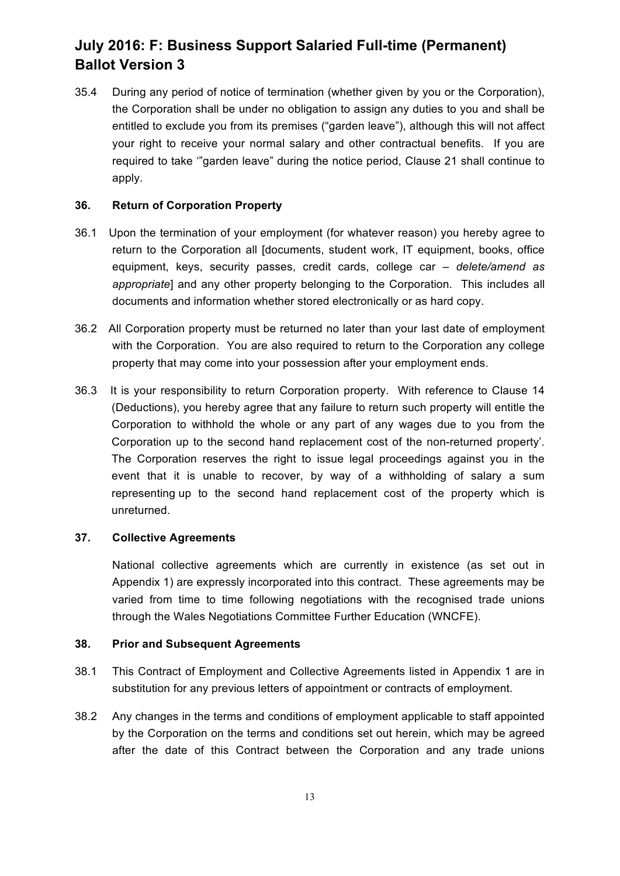35.4 During any period of notice of termination (whether given by you or the Corporation), the Corporation shall be under no obligation to assign any duties to you and shall be entitled to exclude you from its premises ("garden leave"), although this will not affect your right to receive your normal salary and other contractual benefits. If you are required to take '"garden leave" during the notice period, Clause 21 shall continue to apply.

#### **36. Return of Corporation Property**

- 36.1 Upon the termination of your employment (for whatever reason) you hereby agree to return to the Corporation all [documents, student work, IT equipment, books, office equipment, keys, security passes, credit cards, college car *– delete/amend as appropriate*] and any other property belonging to the Corporation. This includes all documents and information whether stored electronically or as hard copy.
- 36.2 All Corporation property must be returned no later than your last date of employment with the Corporation. You are also required to return to the Corporation any college property that may come into your possession after your employment ends.
- 36.3 It is your responsibility to return Corporation property. With reference to Clause 14 (Deductions), you hereby agree that any failure to return such property will entitle the Corporation to withhold the whole or any part of any wages due to you from the Corporation up to the second hand replacement cost of the non-returned property'. The Corporation reserves the right to issue legal proceedings against you in the event that it is unable to recover, by way of a withholding of salary a sum representing up to the second hand replacement cost of the property which is unreturned.

#### **37. Collective Agreements**

National collective agreements which are currently in existence (as set out in Appendix 1) are expressly incorporated into this contract. These agreements may be varied from time to time following negotiations with the recognised trade unions through the Wales Negotiations Committee Further Education (WNCFE).

#### **38. Prior and Subsequent Agreements**

- 38.1 This Contract of Employment and Collective Agreements listed in Appendix 1 are in substitution for any previous letters of appointment or contracts of employment.
- 38.2 Any changes in the terms and conditions of employment applicable to staff appointed by the Corporation on the terms and conditions set out herein, which may be agreed after the date of this Contract between the Corporation and any trade unions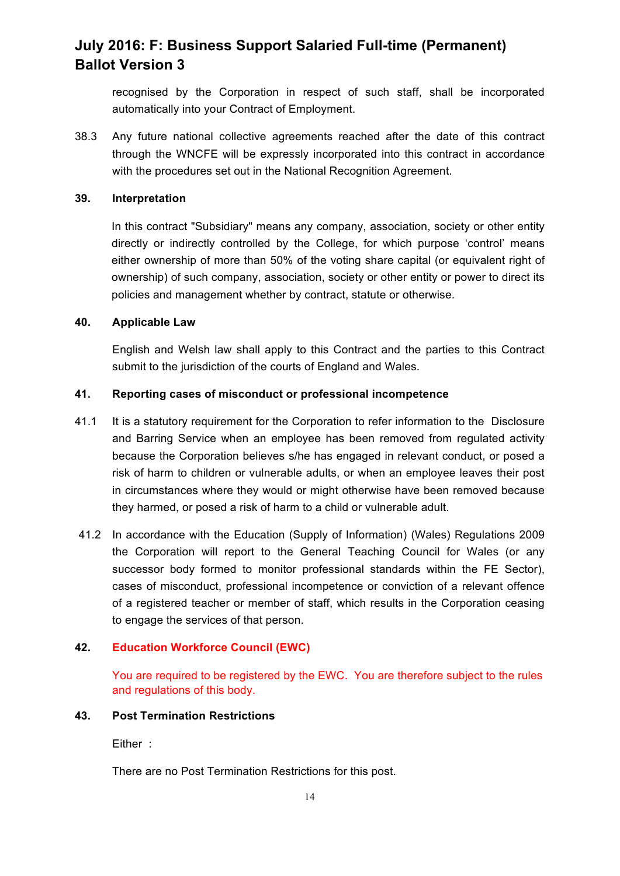recognised by the Corporation in respect of such staff, shall be incorporated automatically into your Contract of Employment.

38.3 Any future national collective agreements reached after the date of this contract through the WNCFE will be expressly incorporated into this contract in accordance with the procedures set out in the National Recognition Agreement.

#### **39. Interpretation**

In this contract "Subsidiary" means any company, association, society or other entity directly or indirectly controlled by the College, for which purpose 'control' means either ownership of more than 50% of the voting share capital (or equivalent right of ownership) of such company, association, society or other entity or power to direct its policies and management whether by contract, statute or otherwise.

#### **40. Applicable Law**

English and Welsh law shall apply to this Contract and the parties to this Contract submit to the jurisdiction of the courts of England and Wales.

### **41. Reporting cases of misconduct or professional incompetence**

- 41.1 It is a statutory requirement for the Corporation to refer information to the Disclosure and Barring Service when an employee has been removed from regulated activity because the Corporation believes s/he has engaged in relevant conduct, or posed a risk of harm to children or vulnerable adults, or when an employee leaves their post in circumstances where they would or might otherwise have been removed because they harmed, or posed a risk of harm to a child or vulnerable adult.
- 41.2 In accordance with the Education (Supply of Information) (Wales) Regulations 2009 the Corporation will report to the General Teaching Council for Wales (or any successor body formed to monitor professional standards within the FE Sector), cases of misconduct, professional incompetence or conviction of a relevant offence of a registered teacher or member of staff, which results in the Corporation ceasing to engage the services of that person.

### **42. Education Workforce Council (EWC)**

You are required to be registered by the EWC. You are therefore subject to the rules and regulations of this body.

#### **43. Post Termination Restrictions**

Either :

There are no Post Termination Restrictions for this post.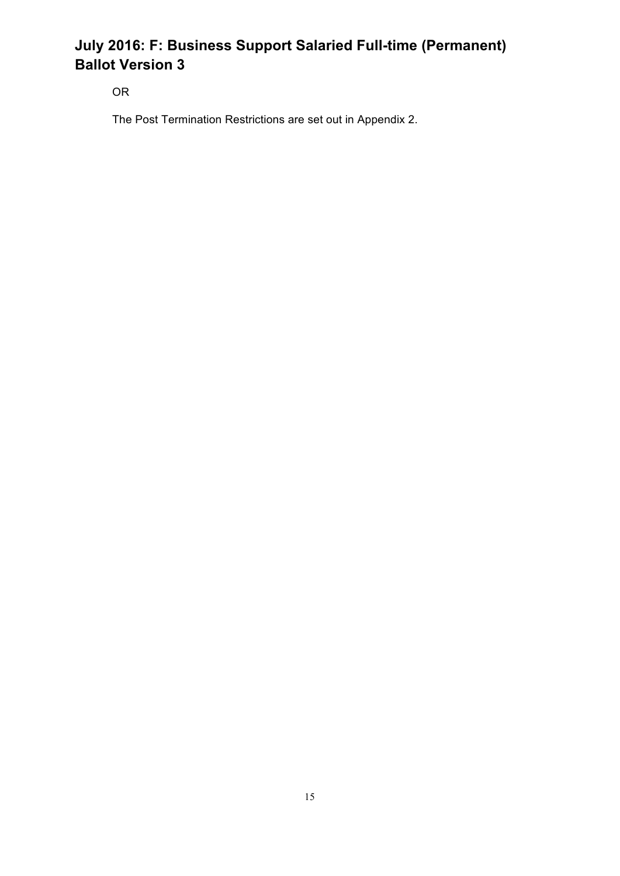OR

The Post Termination Restrictions are set out in Appendix 2.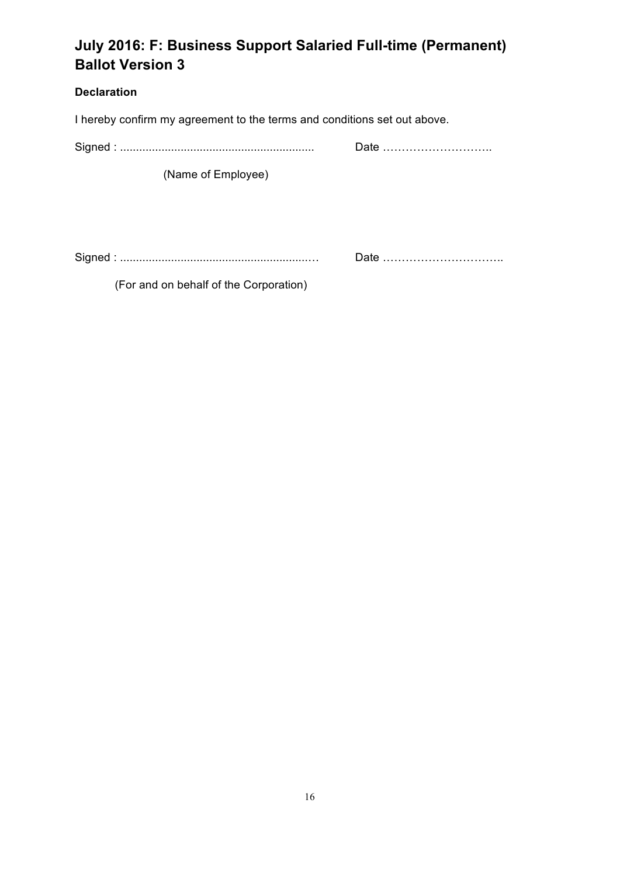# **Declaration**

I hereby confirm my agreement to the terms and conditions set out above.

Signed : ............................................................. Date ………………………..

(Name of Employee)

Signed : ...........................................................… Date …………………………..

(For and on behalf of the Corporation)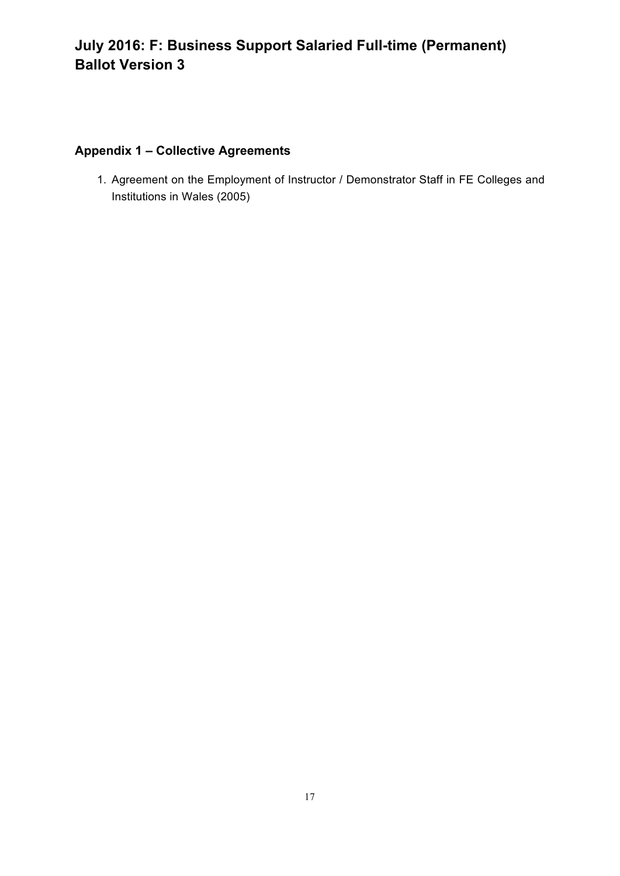# **Appendix 1 – Collective Agreements**

1. Agreement on the Employment of Instructor / Demonstrator Staff in FE Colleges and Institutions in Wales (2005)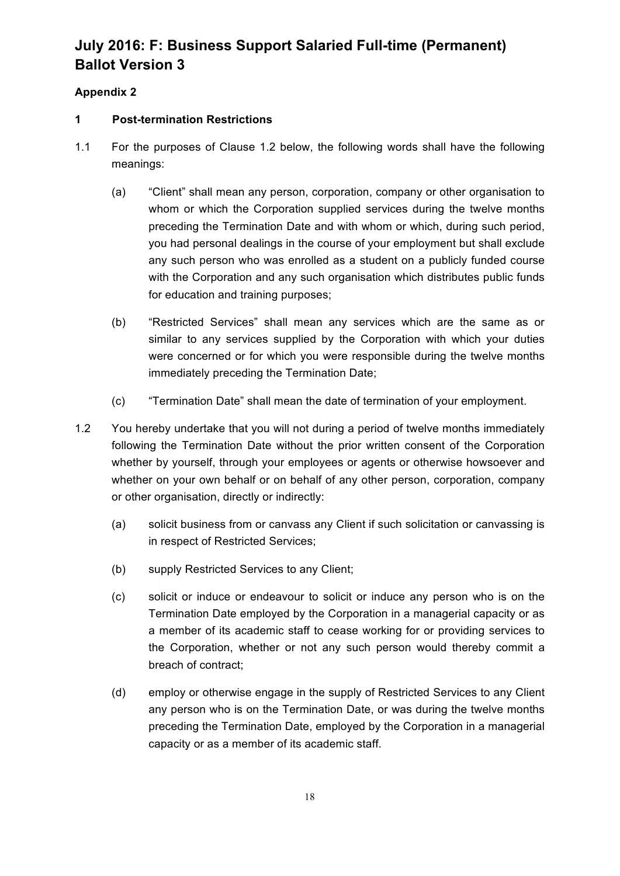# **Appendix 2**

# **1 Post-termination Restrictions**

- 1.1 For the purposes of Clause 1.2 below, the following words shall have the following meanings:
	- (a) "Client" shall mean any person, corporation, company or other organisation to whom or which the Corporation supplied services during the twelve months preceding the Termination Date and with whom or which, during such period, you had personal dealings in the course of your employment but shall exclude any such person who was enrolled as a student on a publicly funded course with the Corporation and any such organisation which distributes public funds for education and training purposes;
	- (b) "Restricted Services" shall mean any services which are the same as or similar to any services supplied by the Corporation with which your duties were concerned or for which you were responsible during the twelve months immediately preceding the Termination Date;
	- (c) "Termination Date" shall mean the date of termination of your employment.
- 1.2 You hereby undertake that you will not during a period of twelve months immediately following the Termination Date without the prior written consent of the Corporation whether by yourself, through your employees or agents or otherwise howsoever and whether on your own behalf or on behalf of any other person, corporation, company or other organisation, directly or indirectly:
	- (a) solicit business from or canvass any Client if such solicitation or canvassing is in respect of Restricted Services;
	- (b) supply Restricted Services to any Client;
	- (c) solicit or induce or endeavour to solicit or induce any person who is on the Termination Date employed by the Corporation in a managerial capacity or as a member of its academic staff to cease working for or providing services to the Corporation, whether or not any such person would thereby commit a breach of contract;
	- (d) employ or otherwise engage in the supply of Restricted Services to any Client any person who is on the Termination Date, or was during the twelve months preceding the Termination Date, employed by the Corporation in a managerial capacity or as a member of its academic staff.